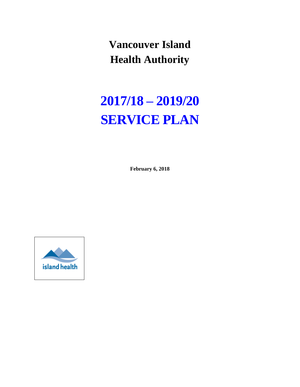**Vancouver Island Health Authority**

# **2017/18 – 2019/20 SERVICE PLAN**

**February 6, 2018**

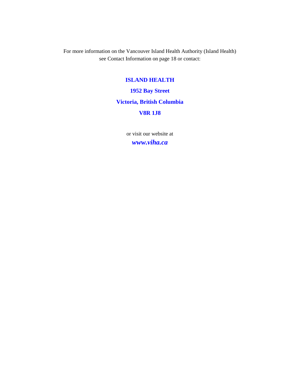For more information on the Vancouver Island Health Authority (Island Health) see Contact Information on page 18 or contact:

#### **ISLAND HEALTH**

**1952 Bay Street**

#### **Victoria, British Columbia**

#### **V8R 1J8**

or visit our website at *www.viha.ca*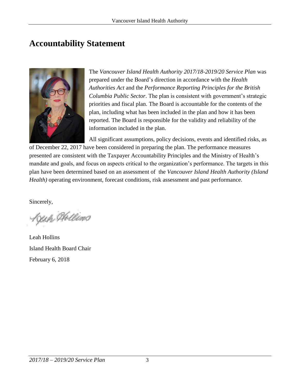## **Accountability Statement**



The *Vancouver Island Health Authority 2017/18-2019/20 Service Plan* was prepared under the Board's direction in accordance with the *Health Authorities Act* and the *Performance Reporting Principles for the British Columbia Public Sector*. The plan is consistent with government's strategic priorities and fiscal plan. The Board is accountable for the contents of the plan, including what has been included in the plan and how it has been reported. The Board is responsible for the validity and reliability of the information included in the plan.

All significant assumptions, policy decisions, events and identified risks, as

of December 22, 2017 have been considered in preparing the plan. The performance measures presented are consistent with the Taxpayer Accountability Principles and the Ministry of Health's mandate and goals, and focus on aspects critical to the organization's performance. The targets in this plan have been determined based on an assessment of the *Vancouver Island Health Authority (Island Health)* operating environment, forecast conditions, risk assessment and past performance.

Sincerely,

Keah Hollins

Leah Hollins Island Health Board Chair February 6, 2018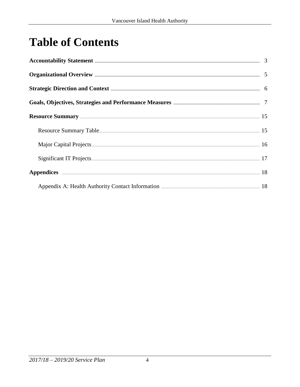# **Table of Contents**

| Accountability Statement <b>Execution</b> 3                                                                                                                                                                                    |  |
|--------------------------------------------------------------------------------------------------------------------------------------------------------------------------------------------------------------------------------|--|
| Organizational Overview <b>Exercise Science and Science And Science</b> 5                                                                                                                                                      |  |
| Strategic Direction and Context <b>Election</b> 6                                                                                                                                                                              |  |
| Goals, Objectives, Strategies and Performance Measures <b>Election Constructs</b> 7                                                                                                                                            |  |
| Resource Summary 25 and 35                                                                                                                                                                                                     |  |
|                                                                                                                                                                                                                                |  |
| Major Capital Projects 2008 and 2009 and 2009 and 2009 and 2009 and 2009 and 2009 and 2009 and 2009 and 2009 and 2009 and 2009 and 2009 and 2009 and 2009 and 2009 and 2009 and 2009 and 2009 and 2009 and 2009 and 2009 and 2 |  |
|                                                                                                                                                                                                                                |  |
| Appendices 18                                                                                                                                                                                                                  |  |
| Appendix A: Health Authority Contact Information <b>Exercise 2018</b> 18                                                                                                                                                       |  |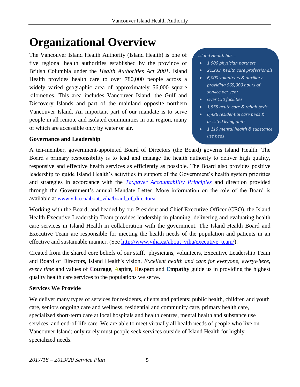# **Organizational Overview**

The Vancouver Island Health Authority (Island Health) is one of five regional health authorities established by the province of British Columbia under the *Health Authorities Act 2001*. Island Health provides health care to over 780,000 people across a widely varied geographic area of approximately 56,000 square kilometres. This area includes Vancouver Island, the Gulf and Discovery Islands and part of the mainland opposite northern Vancouver Island. An important part of our mandate is to serve people in all remote and isolated communities in our region, many of which are accessible only by water or air.

#### **Governance and Leadership**

#### *Island Health has…*

- *1,900 physician partners*
- *21,233 health care professionals*
- *6,000 volunteers & auxiliary providing 565,000 hours of service per year*
- *Over 150 facilities*
- *1,555 acute care & rehab beds*
- *6,426 residential care beds & assisted living units*
- *1,110 mental health & substance use beds*

A ten-member, government-appointed Board of Directors (the Board) governs Island Health. The Board's primary responsibility is to lead and manage the health authority to deliver high quality, responsive and effective health services as efficiently as possible. The Board also provides positive leadership to guide Island Health's activities in support of the Government's health system priorities and strategies in accordance with the *[Taxpayer Accountability Principles](http://www.google.ca/url?sa=t&rct=j&q=&esrc=s&frm=1&source=web&cd=1&cad=rja&uact=8&ved=0CB0QFjAA&url=http%3A%2F%2Fwww2.gov.bc.ca%2Fgov%2FDownloadAsset%3FassetId%3DB613CF138959439D9A947CF3D586FE6B&ei=gw9JVfrGMNbpoAT_9YCQCw&usg=AFQjCNHQ7JBmVQU4RFfwSNu0IXc8Dh66wA&bvm=bv.92291466,d.cGU)* and direction provided through the Government's annual Mandate Letter. More information on the role of the Board is available at [www.viha.ca/about\\_viha/board\\_of\\_directors/.](http://www.viha.ca/about_viha/board_of_directors/)

Working with the [Board,](http://www.viha.ca/about_viha/board_of_directors/) and headed by our President and Chief Executive Officer (CEO), the Island Health Executive Leadership Team provides leadership in planning, delivering and evaluating health care services in Island Health in collaboration with the government. The Island Health Board and Executive Team are responsible for meeting the health needs of the population and patients in an effective and sustainable manner. (See [http://www.viha.ca/about\\_viha/executive\\_team/\)](http://www.viha.ca/about_viha/executive_team/).

Created from the shared core beliefs of our staff, physicians, volunteers, Executive Leadership Team and Board of Directors, Island Health's vision, *Excellent health and care for everyone, everywhere, every time* and values of **Courage**, **Aspire, Respect** and **Empathy** guide us in providing the highest quality health care services to the populations we serve.

#### **Services We Provide**

We deliver many types of services for residents, clients and patients: public health, children and youth care, seniors ongoing care and wellness, residential and community care, primary health care, specialized short-term care at local hospitals and health centres, mental health and substance use services, and end-of-life care. We are able to meet virtually all health needs of people who live on Vancouver Island; only rarely must people seek services outside of Island Health for highly specialized needs.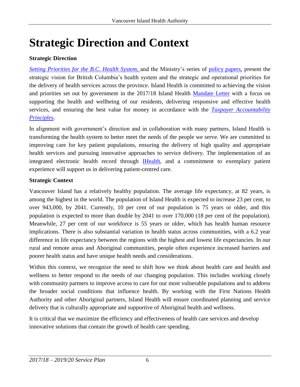# **Strategic Direction and Context**

#### **Strategic Direction**

*[Setting Priorities for the B.C. Health System,](http://www2.gov.bc.ca/gov/topic.page?id=EF73BCF3DE34484CB4DBA9E34092402C)* and the Ministry's series of policy [papers,](http://www2.gov.bc.ca/gov/content/health/about-bc-s-health-care-system/health-priorities/setting-priorities-for-bc-health) present the strategic vision for British Columbia's health system and the strategic and operational priorities for the delivery of health services across the province. Island Health is committed to achieving the vision and priorities set out by government in the 2017/18 Island Health [Mandate Letter](https://www.viha.ca/NR/rdonlyres/E4E75991-C71C-4532-A589-15D89284F18D/0/201718MandateLetterSIGNED.pdf) with a focus on supporting the health and wellbeing of our residents, delivering responsive and effective health services, and ensuring the best value for money in accordance with the *[Taxpayer Accountability](http://www.google.ca/url?sa=t&rct=j&q=&esrc=s&frm=1&source=web&cd=1&cad=rja&uact=8&ved=0CB0QFjAA&url=http%3A%2F%2Fwww2.gov.bc.ca%2Fgov%2FDownloadAsset%3FassetId%3DB613CF138959439D9A947CF3D586FE6B&ei=gw9JVfrGMNbpoAT_9YCQCw&usg=AFQjCNHQ7JBmVQU4RFfwSNu0IXc8Dh66wA&bvm=bv.92291466,d.cGU)  [Principles](http://www.google.ca/url?sa=t&rct=j&q=&esrc=s&frm=1&source=web&cd=1&cad=rja&uact=8&ved=0CB0QFjAA&url=http%3A%2F%2Fwww2.gov.bc.ca%2Fgov%2FDownloadAsset%3FassetId%3DB613CF138959439D9A947CF3D586FE6B&ei=gw9JVfrGMNbpoAT_9YCQCw&usg=AFQjCNHQ7JBmVQU4RFfwSNu0IXc8Dh66wA&bvm=bv.92291466,d.cGU)*.

In alignment with government's direction and in collaboration with many partners, Island Health is transforming the health system to better meet the needs of the people we serve. We are committed to improving care for key patient populations, ensuring the delivery of high quality and appropriate health services and pursuing innovative approaches to service delivery. The implementation of an integrated electronic health record through **IHealth**, and a commitment to exemplary patient experience will support us in delivering patient-centred care.

#### **Strategic Context**

Vancouver Island has a relatively healthy population. The average life expectancy, at 82 years, is among the highest in the world. The population of Island Health is expected to increase 23 per cent, to over 943,000, by 2041. Currently, 10 per cent of our population is 75 years or older, and this population is expected to more than double by 2041 to over 170,000 (18 per cent of the population). Meanwhile, 27 per cent of our workforce is 55 years or older, which has health human resource implications. There is also substantial variation in health status across communities, with a 6.2 year difference in life expectancy between the regions with the highest and lowest life expectancies. In our rural and remote areas and Aboriginal communities, people often experience increased barriers and poorer health status and have unique health needs and considerations.

Within this context, we recognize the need to shift how we think about health care and health and wellness to better respond to the needs of our changing population. This includes working closely with community partners to improve access to care for our most vulnerable populations and to address the broader social conditions that influence health. By working with the First Nations Health Authority and other Aboriginal partners, Island Health will ensure coordinated planning and service delivery that is culturally appropriate and supportive of Aboriginal health and wellness.

It is critical that we maximize the efficiency and effectiveness of health care services and develop innovative solutions that contain the growth of health care spending.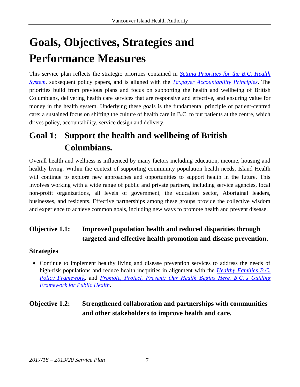# **Goals, Objectives, Strategies and Performance Measures**

This service plan reflects the strategic priorities contained in *[Setting Priorities for the B.C. Health](http://www2.gov.bc.ca/gov/topic.page?id=EF73BCF3DE34484CB4DBA9E34092402C)  [System](http://www2.gov.bc.ca/gov/topic.page?id=EF73BCF3DE34484CB4DBA9E34092402C)*, subsequent policy papers, and is aligned with the *[Taxpayer Accountability Principles](http://www.google.ca/url?sa=t&rct=j&q=&esrc=s&frm=1&source=web&cd=1&cad=rja&uact=8&ved=0CB0QFjAA&url=http%3A%2F%2Fwww2.gov.bc.ca%2Fgov%2FDownloadAsset%3FassetId%3DB613CF138959439D9A947CF3D586FE6B&ei=gw9JVfrGMNbpoAT_9YCQCw&usg=AFQjCNHQ7JBmVQU4RFfwSNu0IXc8Dh66wA&bvm=bv.92291466,d.cGU)*. The priorities build from previous plans and focus on supporting the health and wellbeing of British Columbians, delivering health care services that are responsive and effective, and ensuring value for money in the health system. Underlying these goals is the fundamental principle of patient-centred care: a sustained focus on shifting the culture of health care in B.C. to put patients at the centre, which drives policy, accountability, service design and delivery.

## **Goal 1: Support the health and wellbeing of British Columbians.**

Overall health and wellness is influenced by many factors including education, income, housing and healthy living. Within the context of supporting community population health needs, Island Health will continue to explore new approaches and opportunities to support health in the future. This involves working with a wide range of public and private partners, including service agencies, local non-profit organizations, all levels of government, the education sector, Aboriginal leaders, businesses, and residents. Effective partnerships among these groups provide the collective wisdom and experience to achieve common goals, including new ways to promote health and prevent disease.

## **Objective 1.1: Improved population health and reduced disparities through targeted and effective health promotion and disease prevention.**

#### **Strategies**

 Continue to implement healthy living and disease prevention services to address the needs of high-risk populations and reduce health inequities in alignment with the *[Healthy Families B.C.](http://www.health.gov.bc.ca/library/publications/year/2014/healthy-families-bc-policy-framework.pdf) [Policy Framework,](http://www.health.gov.bc.ca/library/publications/year/2014/healthy-families-bc-policy-framework.pdf)* and *[Promote, Protect, Prevent: Our Health Begins Here. B.C.'s Guiding](http://www.health.gov.bc.ca/library/publications/year/2013/BC-guiding-framework-for-public-health.pdf)  [Framework for Public Health](http://www.health.gov.bc.ca/library/publications/year/2013/BC-guiding-framework-for-public-health.pdf)*.

### **Objective 1.2: Strengthened collaboration and partnerships with communities and other stakeholders to improve health and care.**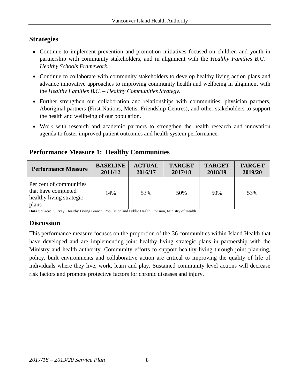#### **Strategies**

- Continue to implement prevention and promotion initiatives focused on children and youth in partnership with community stakeholders, and in alignment with the *Healthy Families B.C. – Healthy Schools Framework*.
- Continue to collaborate with community stakeholders to develop healthy living action plans and advance innovative approaches to improving community health and wellbeing in alignment with the *Healthy Families B.C. – Healthy Communities Strategy*.
- Further strengthen our collaboration and relationships with communities, physician partners, Aboriginal partners (First Nations, Metis, Friendship Centres), and other stakeholders to support the health and wellbeing of our population.
- Work with research and academic partners to strengthen the health research and innovation agenda to foster improved patient outcomes and health system performance.

#### **Performance Measure 1: Healthy Communities**

| <b>Performance Measure</b>                                                          | <b>BASELINE</b> | <b>ACTUAL</b> | <b>TARGET</b> | <b>TARGET</b> | <b>TARGET</b> |
|-------------------------------------------------------------------------------------|-----------------|---------------|---------------|---------------|---------------|
|                                                                                     | 2011/12         | 2016/17       | 2017/18       | 2018/19       | 2019/20       |
| Per cent of communities<br>that have completed<br>healthy living strategic<br>plans | 14%             | 53%           | 50%           | 50%           | 53%           |

**Data Source:** Survey, Healthy Living Branch, Population and Public Health Division, Ministry of Health

#### **Discussion**

This performance measure focuses on the proportion of the 36 communities within Island Health that have developed and are implementing joint healthy living strategic plans in partnership with the Ministry and health authority. Community efforts to support healthy living through joint planning, policy, built environments and collaborative action are critical to improving the quality of life of individuals where they live, work, learn and play. Sustained community level actions will decrease risk factors and promote protective factors for chronic diseases and injury.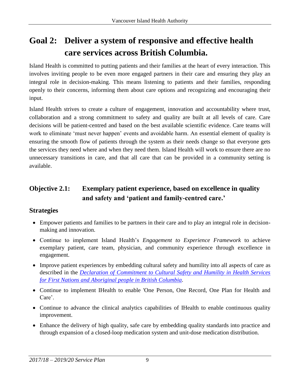# **Goal 2: Deliver a system of responsive and effective health care services across British Columbia.**

Island Health is committed to putting patients and their families at the heart of every interaction. This involves inviting people to be even more engaged partners in their care and ensuring they play an integral role in decision-making. This means listening to patients and their families, responding openly to their concerns, informing them about care options and recognizing and encouraging their input.

Island Health strives to create a culture of engagement, innovation and accountability where trust, collaboration and a strong commitment to safety and quality are built at all levels of care. Care decisions will be patient-centred and based on the best available scientific evidence. Care teams will work to eliminate 'must never happen' events and avoidable harm. An essential element of quality is ensuring the smooth flow of patients through the system as their needs change so that everyone gets the services they need where and when they need them. Island Health will work to ensure there are no unnecessary transitions in care, and that all care that can be provided in a community setting is available.

#### **Objective 2.1: Exemplary patient experience, based on excellence in quality and safety and 'patient and family-centred care.'**

#### **Strategies**

- Empower patients and families to be partners in their care and to play an integral role in decisionmaking and innovation.
- Continue to implement Island Health's *Engagement to Experience Framework* to achieve exemplary patient, care team, physician, and community experience through excellence in engagement.
- Improve patient experiences by embedding cultural safety and humility into all aspects of care as described in the *[Declaration of Commitment to Cultural Safety and Humility in Health Services](http://www.fnha.ca/Documents/Declaration-of-Commitment-on-Cultural-Safety-and-Humility-in-Health-Services.pdf)  [for First Nations and Aboriginal people in British Columbia.](http://www.fnha.ca/Documents/Declaration-of-Commitment-on-Cultural-Safety-and-Humility-in-Health-Services.pdf)*
- Continue to implement IHealth to enable 'One Person, One Record, One Plan for Health and Care'.
- Continue to advance the clinical analytics capabilities of IHealth to enable continuous quality improvement.
- Enhance the delivery of high quality, safe care by embedding quality standards into practice and through expansion of a closed-loop medication system and unit-dose medication distribution.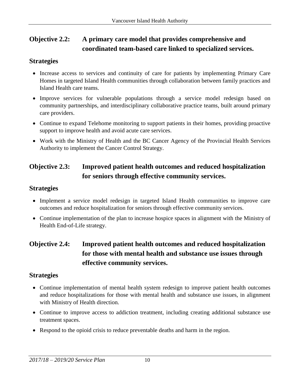### **Objective 2.2: A primary care model that provides comprehensive and coordinated team-based care linked to specialized services.**

#### **Strategies**

- Increase access to services and continuity of care for patients by implementing Primary Care Homes in targeted Island Health communities through collaboration between family practices and Island Health care teams.
- Improve services for vulnerable populations through a service model redesign based on community partnerships, and interdisciplinary collaborative practice teams, built around primary care providers.
- Continue to expand Telehome monitoring to support patients in their homes, providing proactive support to improve health and avoid acute care services.
- Work with the Ministry of Health and the BC Cancer Agency of the Provincial Health Services Authority to implement the Cancer Control Strategy.

### **Objective 2.3: Improved patient health outcomes and reduced hospitalization for seniors through effective community services.**

#### **Strategies**

- Implement a service model redesign in targeted Island Health communities to improve care outcomes and reduce hospitalization for seniors through effective community services.
- Continue implementation of the plan to increase hospice spaces in alignment with the Ministry of Health End-of-Life strategy.

### **Objective 2.4: Improved patient health outcomes and reduced hospitalization for those with mental health and substance use issues through effective community services.**

#### **Strategies**

- Continue implementation of mental health system redesign to improve patient health outcomes and reduce hospitalizations for those with mental health and substance use issues, in alignment with Ministry of Health direction.
- Continue to improve access to addiction treatment, including creating additional substance use treatment spaces.
- Respond to the opioid crisis to reduce preventable deaths and harm in the region.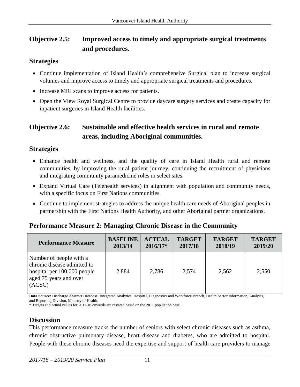#### **Objective 2.5: Improved access to timely and appropriate surgical treatments and procedures.**

#### **Strategies**

- Continue implementation of Island Health's comprehensive Surgical plan to increase surgical volumes and improve access to timely and appropriate surgical treatments and procedures.
- Increase MRI scans to improve access for patients.
- Open the View Royal Surgical Centre to provide daycare surgery services and create capacity for inpatient surgeries in Island Health facilities.

#### **Objective 2.6: Sustainable and effective health services in rural and remote areas, including Aboriginal communities.**

#### **Strategies**

- Enhance health and wellness, and the quality of care in Island Health rural and remote communities, by improving the rural patient journey, continuing the recruitment of physicians and integrating community paramedicine roles in select sites.
- Expand Virtual Care (Telehealth services) in alignment with population and community needs, with a specific focus on First Nations communities.
- Continue to implement strategies to address the unique health care needs of Aboriginal peoples in partnership with the First Nations Health Authority, and other Aboriginal partner organizations.

| <b>Performance Measure</b>                                                                                                | <b>BASELINE</b> | <b>ACTUAL</b> | <b>TARGET</b> | <b>TARGET</b> | <b>TARGET</b> |
|---------------------------------------------------------------------------------------------------------------------------|-----------------|---------------|---------------|---------------|---------------|
|                                                                                                                           | 2013/14         | $2016/17*$    | 2017/18       | 2018/19       | 2019/20       |
| Number of people with a<br>chronic disease admitted to<br>hospital per 100,000 people<br>aged 75 years and over<br>(ACSC) | 2,884           | 2,786         | 2,574         | 2,562         | 2,550         |

#### **Performance Measure 2: Managing Chronic Disease in the Community**

**Data Source:** Discharge Abstract Database, Integrated Analytics: Hospital, Diagnostics and Workforce Branch, Health Sector Information, Analysis, and Reporting Division, Ministry of Health.

\* Targets and actual values for 2017/18 onwards are restated based on the 2011 population base.

#### **Discussion**

This performance measure tracks the number of seniors with select chronic diseases such as asthma, chronic obstructive pulmonary disease, heart disease and diabetes, who are admitted to hospital. People with these chronic diseases need the expertise and support of health care providers to manage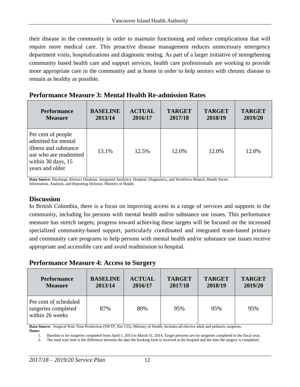their disease in the community in order to maintain functioning and reduce complications that will require more medical care. This proactive disease management reduces unnecessary emergency department visits, hospitalizations and diagnostic testing. As part of a larger initiative of strengthening community based health care and support services, health care professionals are working to provide more appropriate care in the community and at home in order to help seniors with chronic disease to remain as healthy as possible.

|  |  |  |  | <b>Performance Measure 3: Mental Health Re-admission Rates</b> |  |
|--|--|--|--|----------------------------------------------------------------|--|
|--|--|--|--|----------------------------------------------------------------|--|

| <b>Performance</b>                                                                                                                    | <b>BASELINE</b> | <b>ACTUAL</b> | <b>TARGET</b> | <b>TARGET</b> | <b>TARGET</b> |
|---------------------------------------------------------------------------------------------------------------------------------------|-----------------|---------------|---------------|---------------|---------------|
| <b>Measure</b>                                                                                                                        | 2013/14         | 2016/17       | 2017/18       | 2018/19       | 2019/20       |
| Per cent of people<br>admitted for mental<br>illness and substance<br>use who are readmitted<br>within 30 days, 15<br>years and older | 13.1%           | 12.5%         | 12.0%         | 12.0%         | 12.0%         |

**Data Source**: Discharge Abstract Database, Integrated Analytics: Hospital, Diagnostics, and Workforce Branch, Health Sector Information, Analysis, and Reporting Division, Ministry of Health.

#### **Discussion**

In British Columbia, there is a focus on improving access to a range of services and supports in the community, including for persons with mental health and/or substance use issues. This performance measure has stretch targets; progress toward achieving these targets will be focused on the increased specialized community-based support, particularly coordinated and integrated team-based primary and community care programs to help persons with mental health and/or substance use issues receive appropriate and accessible care and avoid readmission to hospital.

#### **Performance Measure 4: Access to Surgery**

| <b>Performance</b>                                              | <b>BASELINE</b> | <b>ACTUAL</b> | <b>TARGET</b> | <b>TARGET</b> | <b>TARGET</b> |
|-----------------------------------------------------------------|-----------------|---------------|---------------|---------------|---------------|
| <b>Measure</b>                                                  | 2013/14         | 2016/17       | 2017/18       | 2018/19       | 2019/20       |
| Per cent of scheduled<br>surgeries completed<br>within 26 weeks | 87%             | 80%           | 95%           | 95%           | 95%           |

**Data Source:** Surgical Wait Time Production (SWTP, Site 155), Ministry of Health. Includes all elective adult and pediatric surgeries.

1. Baseline is for surgeries completed from April 1, 2013 to March 31, 2014. Target percents are for surgeries completed in the fiscal year. 2. The total wait time is the difference between the date the booking form is received at the hospital and the date the surgery is completed.

**Notes:**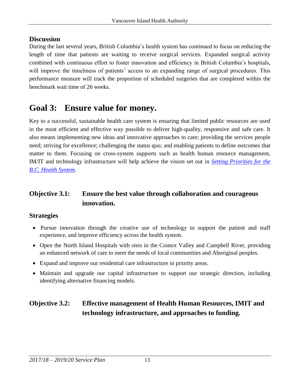#### **Discussion**

During the last several years, British Columbia's health system has continued to focus on reducing the length of time that patients are waiting to receive surgical services. Expanded surgical activity combined with continuous effort to foster innovation and efficiency in British Columbia's hospitals, will improve the timeliness of patients' access to an expanding range of surgical procedures. This performance measure will track the proportion of scheduled surgeries that are completed within the benchmark wait time of 26 weeks.

## **Goal 3: Ensure value for money.**

Key to a successful, sustainable health care system is ensuring that limited public resources are used in the most efficient and effective way possible to deliver high-quality, responsive and safe care. It also means implementing new ideas and innovative approaches to care; providing the services people need; striving for excellence; challenging the status quo; and enabling patients to define outcomes that matter to them. Focusing on cross-system supports such as health human resource management, IM/IT and technology infrastructure will help achieve the vision set out in *[Setting Priorities for the](http://www2.gov.bc.ca/gov/topic.page?id=EF73BCF3DE34484CB4DBA9E34092402C)  [B.C. Health System](http://www2.gov.bc.ca/gov/topic.page?id=EF73BCF3DE34484CB4DBA9E34092402C)*.

#### **Objective 3.1: Ensure the best value through collaboration and courageous innovation.**

#### **Strategies**

- Pursue innovation through the creative use of technology to support the patient and staff experience, and improve efficiency across the health system.
- Open the North Island Hospitals with sites in the Comox Valley and Campbell River, providing an enhanced network of care to meet the needs of local communities and Aboriginal peoples.
- Expand and improve our residential care infrastructure in priority areas.
- Maintain and upgrade our capital infrastructure to support our strategic direction, including identifying alternative financing models.

### **Objective 3.2: Effective management of Health Human Resources, IMIT and technology infrastructure, and approaches to funding.**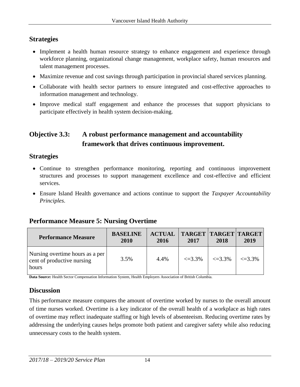#### **Strategies**

- Implement a health human resource strategy to enhance engagement and experience through workforce planning, organizational change management, workplace safety, human resources and talent management processes.
- Maximize revenue and cost savings through participation in provincial shared services planning.
- Collaborate with health sector partners to ensure integrated and cost-effective approaches to information management and technology.
- Improve medical staff engagement and enhance the processes that support physicians to participate effectively in health system decision-making.

### **Objective 3.3: A robust performance management and accountability framework that drives continuous improvement.**

#### **Strategies**

- Continue to strengthen performance monitoring, reporting and continuous improvement structures and processes to support management excellence and cost-effective and efficient services.
- Ensure Island Health governance and actions continue to support the *Taxpayer Accountability Principles*.

#### **Performance Measure 5: Nursing Overtime**

| <b>Performance Measure</b>                                             | <b>BASELINE</b><br>2010 | <b>ACTUAL</b><br>2016 | <b>TARGET   TARGET   TARGET</b><br>2017 | 2018         | 2019        |
|------------------------------------------------------------------------|-------------------------|-----------------------|-----------------------------------------|--------------|-------------|
| Nursing overtime hours as a per<br>cent of productive nursing<br>hours | 3.5%                    | 4.4%                  | $\leq 3.3\%$                            | $\leq 3.3\%$ | $\leq$ 3.3% |

**Data Source:** Health Sector Compensation Information System, Health Employers Association of British Columbia.

#### **Discussion**

This performance measure compares the amount of overtime worked by nurses to the overall amount of time nurses worked. Overtime is a key indicator of the overall health of a workplace as high rates of overtime may reflect inadequate staffing or high levels of absenteeism. Reducing overtime rates by addressing the underlying causes helps promote both patient and caregiver safety while also reducing unnecessary costs to the health system.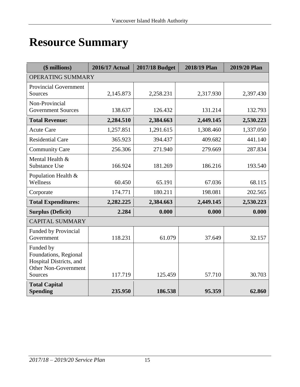# **Resource Summary**

| (\$ millions)                                                                                           | <b>2016/17 Actual</b> | 2017/18 Budget | 2018/19 Plan | 2019/20 Plan |
|---------------------------------------------------------------------------------------------------------|-----------------------|----------------|--------------|--------------|
| OPERATING SUMMARY                                                                                       |                       |                |              |              |
| <b>Provincial Government</b><br>Sources                                                                 | 2,145.873             | 2,258.231      | 2,317.930    | 2,397.430    |
| Non-Provincial<br><b>Government Sources</b>                                                             | 138.637               | 126.432        | 131.214      | 132.793      |
| <b>Total Revenue:</b>                                                                                   | 2,284.510             | 2,384.663      | 2,449.145    | 2,530.223    |
| <b>Acute Care</b>                                                                                       | 1,257.851             | 1,291.615      | 1,308.460    | 1,337.050    |
| <b>Residential Care</b>                                                                                 | 365.923               | 394.437        | 409.682      | 441.140      |
| <b>Community Care</b>                                                                                   | 256.306               | 271.940        | 279.669      | 287.834      |
| Mental Health &<br><b>Substance Use</b>                                                                 | 166.924               | 181.269        | 186.216      | 193.540      |
| Population Health &<br>Wellness                                                                         | 60.450                | 65.191         | 67.036       | 68.115       |
| Corporate                                                                                               | 174.771               | 180.211        | 198.081      | 202.565      |
| <b>Total Expenditures:</b>                                                                              | 2,282.225             | 2,384.663      | 2,449.145    | 2,530.223    |
| <b>Surplus (Deficit)</b>                                                                                | 2.284                 | 0.000          | 0.000        | 0.000        |
| <b>CAPITAL SUMMARY</b>                                                                                  |                       |                |              |              |
| <b>Funded by Provincial</b><br>Government                                                               | 118.231               | 61.079         | 37.649       | 32.157       |
| Funded by<br>Foundations, Regional<br>Hospital Districts, and<br><b>Other Non-Government</b><br>Sources | 117.719               | 125.459        | 57.710       | 30.703       |
| <b>Total Capital</b><br><b>Spending</b>                                                                 | 235.950               | 186.538        | 95.359       | 62.860       |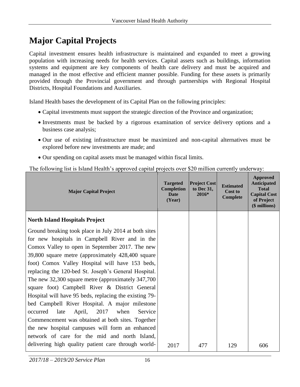## **Major Capital Projects**

Capital investment ensures health infrastructure is maintained and expanded to meet a growing population with increasing needs for health services. Capital assets such as buildings, information systems and equipment are key components of health care delivery and must be acquired and managed in the most effective and efficient manner possible. Funding for these assets is primarily provided through the Provincial government and through partnerships with Regional Hospital Districts, Hospital Foundations and Auxiliaries.

Island Health bases the development of its Capital Plan on the following principles:

- Capital investments must support the strategic direction of the Province and organization;
- Investments must be backed by a rigorous examination of service delivery options and a business case analysis;
- Our use of existing infrastructure must be maximized and non-capital alternatives must be explored before new investments are made; and
- Our spending on capital assets must be managed within fiscal limits.

The following list is Island Health's approved capital projects over \$20 million currently underway:

| <b>Major Capital Project</b>                                                                                                                                                                                                                                                                                                                                                                                                                                                                                                                                                                                                                                                                                                                                      | <b>Targeted</b><br><b>Completion</b><br><b>Date</b><br>(Year) | <b>Project Cost</b><br>to Dec 31,<br>2016* | <b>Estimated</b><br>Cost to<br>Complete | Approved<br><b>Anticipated</b><br><b>Total</b><br><b>Capital Cost</b><br>of Project<br>(\$ millions) |
|-------------------------------------------------------------------------------------------------------------------------------------------------------------------------------------------------------------------------------------------------------------------------------------------------------------------------------------------------------------------------------------------------------------------------------------------------------------------------------------------------------------------------------------------------------------------------------------------------------------------------------------------------------------------------------------------------------------------------------------------------------------------|---------------------------------------------------------------|--------------------------------------------|-----------------------------------------|------------------------------------------------------------------------------------------------------|
| <b>North Island Hospitals Project</b>                                                                                                                                                                                                                                                                                                                                                                                                                                                                                                                                                                                                                                                                                                                             |                                                               |                                            |                                         |                                                                                                      |
| Ground breaking took place in July 2014 at both sites<br>for new hospitals in Campbell River and in the<br>Comox Valley to open in September 2017. The new<br>39,800 square metre (approximately 428,400 square)<br>foot) Comox Valley Hospital will have 153 beds,<br>replacing the 120-bed St. Joseph's General Hospital.<br>The new 32,300 square metre (approximately 347,700<br>square foot) Campbell River & District General<br>Hospital will have 95 beds, replacing the existing 79-<br>bed Campbell River Hospital. A major milestone<br>late<br>2017<br>Service<br>occurred<br>April,<br>when<br>Commencement was obtained at both sites. Together<br>the new hospital campuses will form an enhanced<br>network of care for the mid and north Island, |                                                               |                                            |                                         |                                                                                                      |
| delivering high quality patient care through world-                                                                                                                                                                                                                                                                                                                                                                                                                                                                                                                                                                                                                                                                                                               | 2017                                                          | 477                                        | 129                                     | 606                                                                                                  |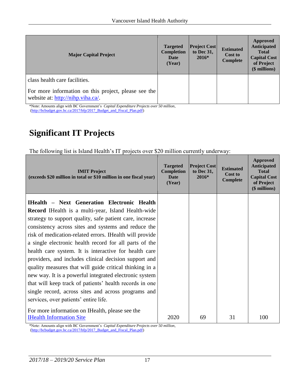| <b>Major Capital Project</b>                                                              | <b>Targeted</b><br><b>Completion</b><br>Date<br>(Year) | <b>Project Cost</b><br>to Dec 31,<br>$2016*$ | <b>Estimated</b><br><b>Cost to</b><br>Complete | Approved<br><b>Anticipated</b><br><b>Total</b><br><b>Capital Cost</b><br>of Project<br>(\$ millions) |
|-------------------------------------------------------------------------------------------|--------------------------------------------------------|----------------------------------------------|------------------------------------------------|------------------------------------------------------------------------------------------------------|
| class health care facilities.                                                             |                                                        |                                              |                                                |                                                                                                      |
| For more information on this project, please see the<br>website at: http://nihp.viha.ca/. |                                                        |                                              |                                                |                                                                                                      |

\*Note: Amounts align with BC Government's *Capital Expenditure Projects over 50 million*, [\(http://bcbudget.gov.bc.ca/2017/bfp/2017\\_Budget\\_and\\_Fiscal\\_Plan.pdf\)](http://bcbudget.gov.bc.ca/2017/bfp/2017_Budget_and_Fiscal_Plan.pdf)

## **Significant IT Projects**

The following list is Island Health's IT projects over \$20 million currently underway:

| <b>IMIT</b> Project<br>(exceeds \$20 million in total or \$10 million in one fiscal year)                         | <b>Targeted</b><br><b>Completion</b><br><b>Date</b><br>(Year) | <b>Project Cost</b><br>to Dec 31,<br>$2016*$ | <b>Estimated</b><br>Cost to<br><b>Complete</b> | <b>Approved</b><br><b>Anticipated</b><br><b>Total</b><br><b>Capital Cost</b><br>of Project<br>(\$ millions) |
|-------------------------------------------------------------------------------------------------------------------|---------------------------------------------------------------|----------------------------------------------|------------------------------------------------|-------------------------------------------------------------------------------------------------------------|
| <b>IHealth - Next Generation Electronic Health</b><br><b>Record</b> IHealth is a multi-year, Island Health-wide   |                                                               |                                              |                                                |                                                                                                             |
| strategy to support quality, safe patient care, increase<br>consistency across sites and systems and reduce the   |                                                               |                                              |                                                |                                                                                                             |
| risk of medication-related errors. IHealth will provide<br>a single electronic health record for all parts of the |                                                               |                                              |                                                |                                                                                                             |
| health care system. It is interactive for health care<br>providers, and includes clinical decision support and    |                                                               |                                              |                                                |                                                                                                             |
| quality measures that will guide critical thinking in a<br>new way. It is a powerful integrated electronic system |                                                               |                                              |                                                |                                                                                                             |
| that will keep track of patients' health records in one                                                           |                                                               |                                              |                                                |                                                                                                             |
| single record, across sites and across programs and<br>services, over patients' entire life.                      |                                                               |                                              |                                                |                                                                                                             |
| For more information on IHealth, please see the<br><b>IHealth Information Site</b>                                | 2020                                                          | 69                                           | 31                                             | 100                                                                                                         |

\*Note: Amounts align with BC Government's *Capital Expenditure Projects over 50 million*, [\(http://bcbudget.gov.bc.ca/2017/bfp/2017\\_Budget\\_and\\_Fiscal\\_Plan.pdf\)](http://bcbudget.gov.bc.ca/2017/bfp/2017_Budget_and_Fiscal_Plan.pdf)